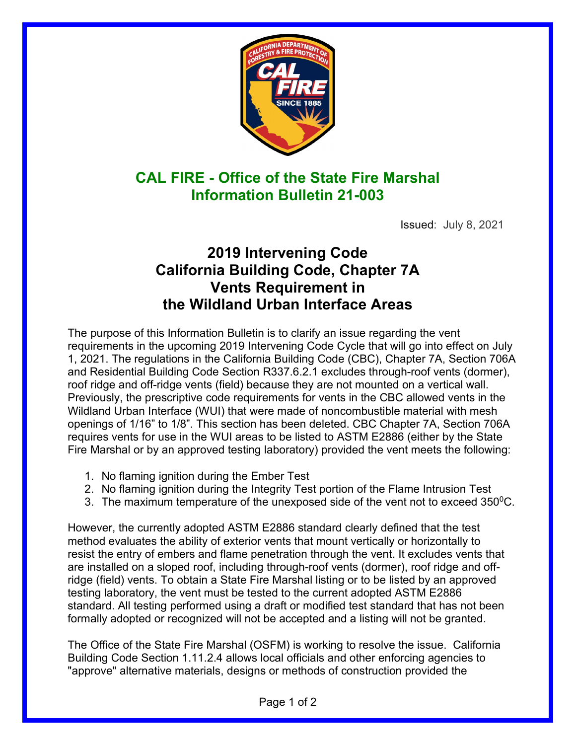

## **CAL FIRE - Office of the State Fire Marshal Information Bulletin 21-003**

Issued: July 8, 2021

## **2019 Intervening Code California Building Code, Chapter 7A Vents Requirement in the Wildland Urban Interface Areas**

The purpose of this Information Bulletin is to clarify an issue regarding the vent requirements in the upcoming 2019 Intervening Code Cycle that will go into effect on July 1, 2021. The regulations in the California Building Code (CBC), Chapter 7A, Section 706A and Residential Building Code Section R337.6.2.1 excludes through-roof vents (dormer), roof ridge and off-ridge vents (field) because they are not mounted on a vertical wall. Previously, the prescriptive code requirements for vents in the CBC allowed vents in the Wildland Urban Interface (WUI) that were made of noncombustible material with mesh openings of 1/16" to 1/8". This section has been deleted. CBC Chapter 7A, Section 706A requires vents for use in the WUI areas to be listed to ASTM E2886 (either by the State Fire Marshal or by an approved testing laboratory) provided the vent meets the following:

- 1. No flaming ignition during the Ember Test
- 2. No flaming ignition during the Integrity Test portion of the Flame Intrusion Test
- 3. The maximum temperature of the unexposed side of the vent not to exceed  $350^0C$ .

However, the currently adopted ASTM E2886 standard clearly defined that the test method evaluates the ability of exterior vents that mount vertically or horizontally to resist the entry of embers and flame penetration through the vent. It excludes vents that are installed on a sloped roof, including through-roof vents (dormer), roof ridge and offridge (field) vents. To obtain a State Fire Marshal listing or to be listed by an approved testing laboratory, the vent must be tested to the current adopted ASTM E2886 standard. All testing performed using a draft or modified test standard that has not been formally adopted or recognized will not be accepted and a listing will not be granted.

The Office of the State Fire Marshal (OSFM) is working to resolve the issue. California Building Code Section 1.11.2.4 allows local officials and other enforcing agencies to "approve" alternative materials, designs or methods of construction provided the